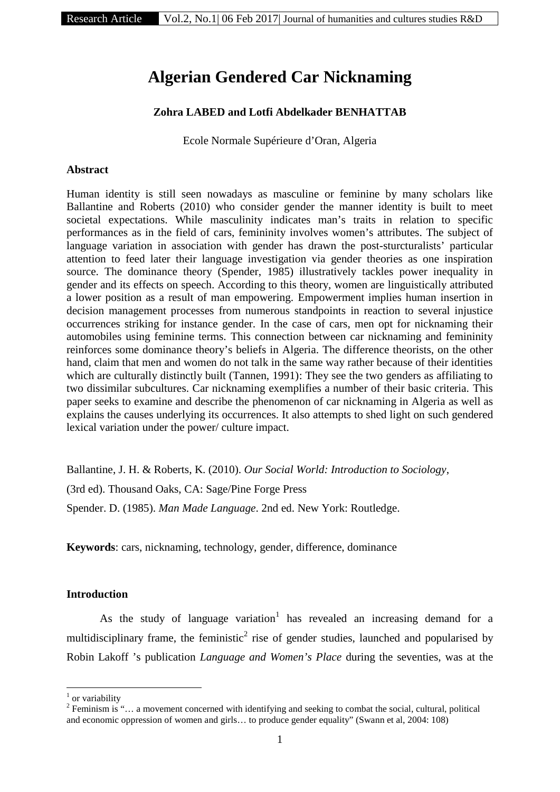# **Algerian Gendered Car Nicknaming**

# **Zohra LABED and Lotfi Abdelkader BENHATTAB**

Ecole Normale Supérieure d'Oran, Algeria

### **Abstract**

Human identity is still seen nowadays as masculine or feminine by many scholars like Ballantine and Roberts (2010) who consider gender the manner identity is built to meet societal expectations. While masculinity indicates man's traits in relation to specific performances as in the field of cars, femininity involves women's attributes. The subject of language variation in association with gender has drawn the post-sturcturalists' particular attention to feed later their language investigation via gender theories as one inspiration source. The dominance theory (Spender, 1985) illustratively tackles power inequality in gender and its effects on speech. According to this theory, women are linguistically attributed a lower position as a result of man empowering. Empowerment implies human insertion in decision management processes from numerous standpoints in reaction to several injustice occurrences striking for instance gender. In the case of cars, men opt for nicknaming their automobiles using feminine terms. This connection between car nicknaming and femininity reinforces some dominance theory's beliefs in Algeria. The difference theorists, on the other hand, claim that men and women do not talk in the same way rather because of their identities which are culturally distinctly built (Tannen, 1991): They see the two genders as affiliating to two dissimilar subcultures. Car nicknaming exemplifies a number of their basic criteria. This paper seeks to examine and describe the phenomenon of car nicknaming in Algeria as well as explains the causes underlying its occurrences. It also attempts to shed light on such gendered lexical variation under the power/ culture impact.

Ballantine, J. H. & Roberts, K. (2010). *Our Social World: Introduction to Sociology*, (3rd ed). Thousand Oaks, CA: Sage/Pine Forge Press Spender. D. (1985). *Man Made Language*. 2nd ed. New York: Routledge.

**Keywords**: cars, nicknaming, technology, gender, difference, dominance

# **Introduction**

As the study of language variation<sup>1</sup> has revealed an increasing demand for a multidisciplinary frame, the feministic<sup>2</sup> rise of gender studies, launched and popularised by Robin Lakoff 's publication *Language and Women's Place* during the seventies, was at the

 $<sup>1</sup>$  or variability</sup>

<sup>&</sup>lt;sup>2</sup> Feminism is "... a movement concerned with identifying and seeking to combat the social, cultural, political and economic oppression of women and girls… to produce gender equality" (Swann et al, 2004: 108)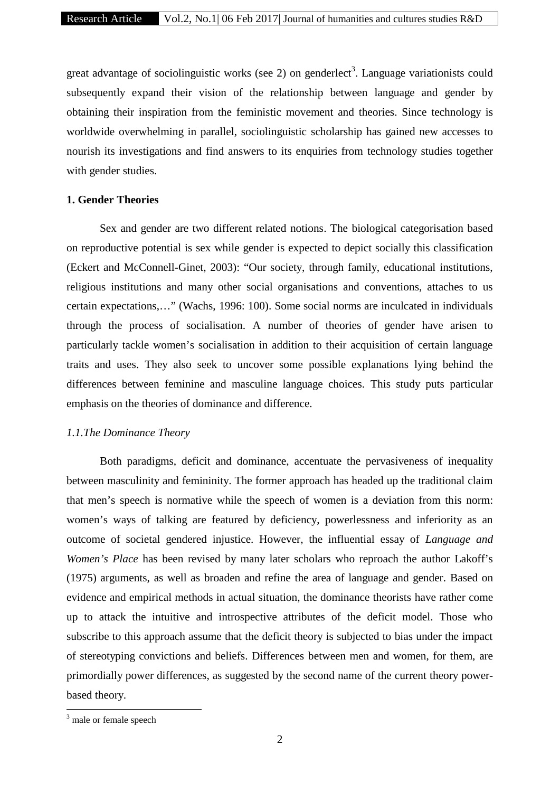great advantage of sociolinguistic works (see 2) on genderlect<sup>3</sup>. Language variationists could subsequently expand their vision of the relationship between language and gender by obtaining their inspiration from the feministic movement and theories. Since technology is worldwide overwhelming in parallel, sociolinguistic scholarship has gained new accesses to nourish its investigations and find answers to its enquiries from technology studies together with gender studies.

## **1. Gender Theories**

Sex and gender are two different related notions. The biological categorisation based on reproductive potential is sex while gender is expected to depict socially this classification (Eckert and McConnell-Ginet, 2003): "Our society, through family, educational institutions, religious institutions and many other social organisations and conventions, attaches to us certain expectations,…" (Wachs, 1996: 100). Some social norms are inculcated in individuals through the process of socialisation. A number of theories of gender have arisen to particularly tackle women's socialisation in addition to their acquisition of certain language traits and uses. They also seek to uncover some possible explanations lying behind the differences between feminine and masculine language choices. This study puts particular emphasis on the theories of dominance and difference.

# *1.1.The Dominance Theory*

Both paradigms, deficit and dominance, accentuate the pervasiveness of inequality between masculinity and femininity. The former approach has headed up the traditional claim that men's speech is normative while the speech of women is a deviation from this norm: women's ways of talking are featured by deficiency, powerlessness and inferiority as an outcome of societal gendered injustice. However, the influential essay of *Language and Women's Place* has been revised by many later scholars who reproach the author Lakoff's (1975) arguments, as well as broaden and refine the area of language and gender. Based on evidence and empirical methods in actual situation, the dominance theorists have rather come up to attack the intuitive and introspective attributes of the deficit model. Those who subscribe to this approach assume that the deficit theory is subjected to bias under the impact of stereotyping convictions and beliefs. Differences between men and women, for them, are primordially power differences, as suggested by the second name of the current theory power based theory.

<sup>&</sup>lt;sup>3</sup> male or female speech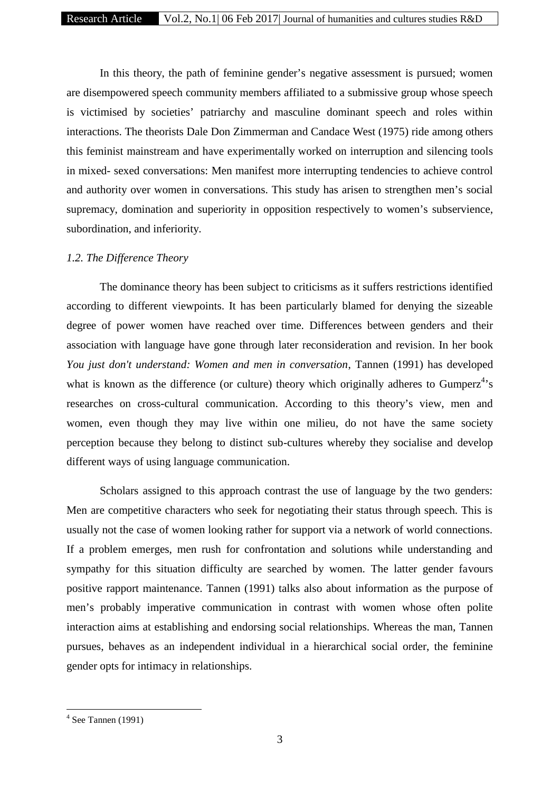In this theory, the path of feminine gender's negative assessment is pursued; women are disempowered speech community members affiliated to a submissive group whose speech is victimised by societies' patriarchy and masculine dominant speech and roles within interactions. The theorists Dale Don Zimmerman and Candace West (1975) ride among others this feminist mainstream and have experimentally worked on interruption and silencing tools in mixed- sexed conversations: Men manifest more interrupting tendencies to achieve control and authority over women in conversations. This study has arisen to strengthen men's social supremacy, domination and superiority in opposition respectively to women's subservience, subordination, and inferiority.

# *1.2. The Difference Theory*

The dominance theory has been subject to criticisms as it suffers restrictions identified according to different viewpoints. It has been particularly blamed for denying the sizeable degree of power women have reached over time. Differences between genders and their association with language have gone through later reconsideration and revision. In her book *You just don't understand: Women and men in conversation*, Tannen (1991) has developed what is known as the difference (or culture) theory which originally adheres to Gumperz<sup>4</sup>'s researches on cross-cultural communication. According to this theory's view, men and women, even though they may live within one milieu, do not have the same society perception because they belong to distinct sub-cultures whereby they socialise and develop different ways of using language communication.

Scholars assigned to this approach contrast the use of language by the two genders: Men are competitive characters who seek for negotiating their status through speech. This is usually not the case of women looking rather for support via a network of world connections. If a problem emerges, men rush for confrontation and solutions while understanding and sympathy for this situation difficulty are searched by women. The latter gender favours positive rapport maintenance. Tannen (1991) talks also about information as the purpose of men's probably imperative communication in contrast with women whose often polite interaction aims at establishing and endorsing social relationships. Whereas the man, Tannen pursues, behaves as an independent individual in a hierarchical social order, the feminine gender opts for intimacy in relationships.

 $4$  See Tannen (1991)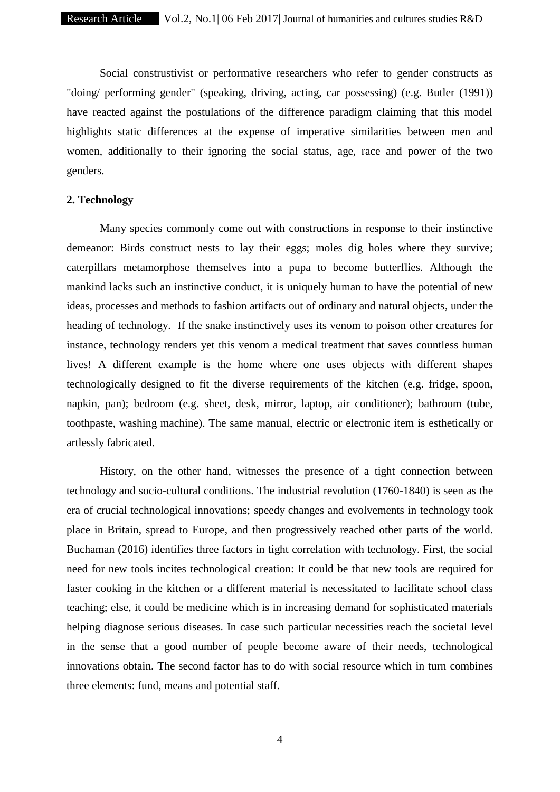Social construstivist or performative researchers who refer to gender constructs as "doing/ performing gender" (speaking, driving, acting, car possessing) (e.g. Butler (1991)) have reacted against the postulations of the difference paradigm claiming that this model highlights static differences at the expense of imperative similarities between men and women, additionally to their ignoring the social status, age, race and power of the two genders.

# **2. Technology**

Many species commonly come out with constructions in response to their instinctive demeanor: Birds construct nests to lay their eggs; moles dig holes where they survive; caterpillars metamorphose themselves into a pupa to become butterflies. Although the mankind lacks such an instinctive conduct, it is uniquely human to have the potential of new ideas, processes and methods to fashion artifacts out of ordinary and natural objects, under the heading of technology. If the snake instinctively uses its venom to poison other creatures for instance, technology renders yet this venom a medical treatment that saves countless human lives! A different example is the home where one uses objects with different shapes technologically designed to fit the diverse requirements of the kitchen (e.g. fridge, spoon, napkin, pan); bedroom (e.g. sheet, desk, mirror, laptop, air conditioner); bathroom (tube, toothpaste, washing machine). The same manual, electric or electronic item is esthetically or artlessly fabricated.

History, on the other hand, witnesses the presence of a tight connection between technology and socio-cultural conditions. The industrial revolution (1760-1840) is seen as the era of crucial technological innovations; speedy changes and evolvements in technology took place in Britain, spread to Europe, and then progressively reached other parts of the world. Buchaman (2016) identifies three factors in tight correlation with technology. First, the social need for new tools incites technological creation: It could be that new tools are required for faster cooking in the kitchen or a different material is necessitated to facilitate school class teaching; else, it could be medicine which is in increasing demand for sophisticated materials helping diagnose serious diseases. In case such particular necessities reach the societal level in the sense that a good number of people become aware of their needs, technological innovations obtain. The second factor has to do with social resource which in turn combines three elements: fund, means and potential staff.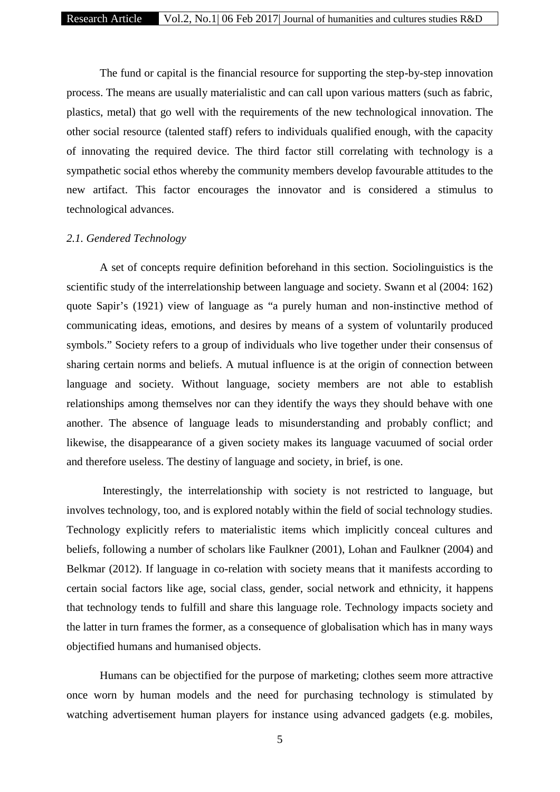The fund or capital is the financial resource for supporting the step-by-step innovation process. The means are usually materialistic and can call upon various matters (such as fabric, plastics, metal) that go well with the requirements of the new technological innovation. The other social resource (talented staff) refers to individuals qualified enough, with the capacity of innovating the required device. The third factor still correlating with technology is a sympathetic social ethos whereby the community members develop favourable attitudes to the new artifact. This factor encourages the innovator and is considered a stimulus to technological advances.

# *2.1. Gendered Technology*

A set of concepts require definition beforehand in this section. Sociolinguistics is the scientific study of the interrelationship between language and society. Swann et al (2004: 162) quote Sapir's (1921) view of language as "a purely human and non-instinctive method of communicating ideas, emotions, and desires by means of a system of voluntarily produced symbols." Society refers to a group of individuals who live together under their consensus of sharing certain norms and beliefs. A mutual influence is at the origin of connection between language and society. Without language, society members are not able to establish relationships among themselves nor can they identify the ways they should behave with one another. The absence of language leads to misunderstanding and probably conflict; and likewise, the disappearance of a given society makes its language vacuumed of social order and therefore useless. The destiny of language and society, in brief, is one.

Interestingly, the interrelationship with society is not restricted to language, but involves technology, too, and is explored notably within the field of social technology studies. Technology explicitly refers to materialistic items which implicitly conceal cultures and beliefs, following a number of scholars like Faulkner (2001), Lohan and Faulkner (2004) and Belkmar (2012). If language in co-relation with society means that it manifests according to certain social factors like age, social class, gender, social network and ethnicity, it happens that technology tends to fulfill and share this language role. Technology impacts society and the latter in turn frames the former, as a consequence of globalisation which has in many ways objectified humans and humanised objects.

Humans can be objectified for the purpose of marketing; clothes seem more attractive once worn by human models and the need for purchasing technology is stimulated by watching advertisement human players for instance using advanced gadgets (e.g. mobiles,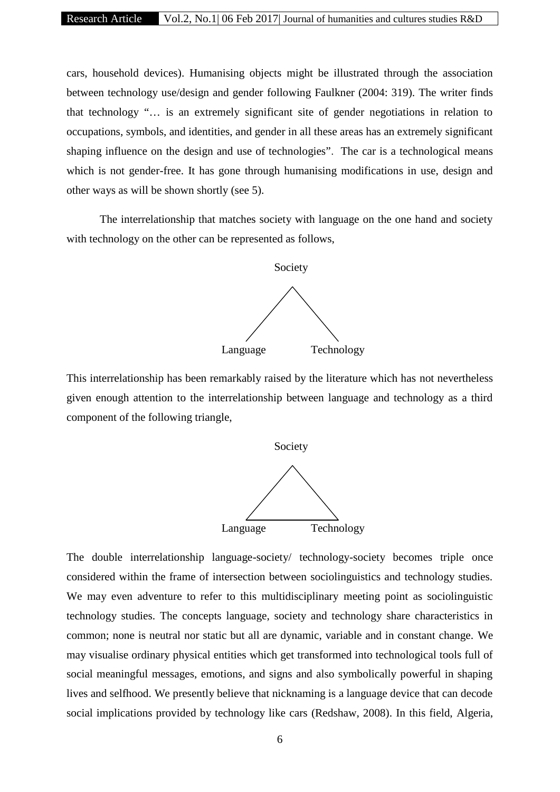cars, household devices). Humanising objects might be illustrated through the association between technology use/design and gender following Faulkner (2004: 319). The writer finds that technology "… is an extremely significant site of gender negotiations in relation to occupations, symbols, and identities, and gender in all these areas has an extremely significant shaping influence on the design and use of technologies". The car is a technological means which is not gender-free. It has gone through humanising modifications in use, design and other ways as will be shown shortly (see 5).

The interrelationship that matches society with language on the one hand and society with technology on the other can be represented as follows,



This interrelationship has been remarkably raised by the literature which has not nevertheless given enough attention to the interrelationship between language and technology as a third component of the following triangle,



The double interrelationship language-society/ technology-society becomes triple once considered within the frame of intersection between sociolinguistics and technology studies. We may even adventure to refer to this multidisciplinary meeting point as sociolinguistic technology studies. The concepts language, society and technology share characteristics in common; none is neutral nor static but all are dynamic, variable and in constant change. We may visualise ordinary physical entities which get transformed into technological tools full of social meaningful messages, emotions, and signs and also symbolically powerful in shaping lives and selfhood. We presently believe that nicknaming is a language device that can decode social implications provided by technology like cars (Redshaw, 2008). In this field, Algeria,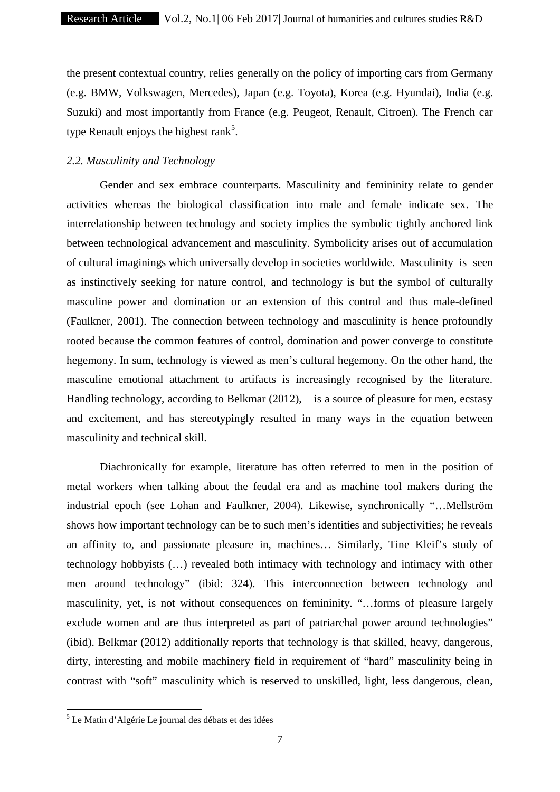the present contextual country, relies generally on the policy of importing cars from Germany (e.g. BMW, Volkswagen, Mercedes), Japan (e.g. Toyota), Korea (e.g. Hyundai), India (e.g. Suzuki) and most importantly from France (e.g. Peugeot, Renault, Citroen). The French car type Renault enjoys the highest rank<sup>5</sup>.

### *2.2. Masculinity and Technology*

Gender and sex embrace counterparts. Masculinity and femininity relate to gender activities whereas the biological classification into male and female indicate sex. The interrelationship between technology and society implies the symbolic tightly anchored link between technological advancement and masculinity. Symbolicity arises out of accumulation of cultural imaginings which universally develop in societies worldwide. Masculinity is seen as instinctively seeking for nature control, and technology is but the symbol of culturally masculine power and domination or an extension of this control and thus male-defined (Faulkner, 2001). The connection between technology and masculinity is hence profoundly rooted because the common features of control, domination and power converge to constitute hegemony. In sum, technology is viewed as men's cultural hegemony. On the other hand, the masculine emotional attachment to artifacts is increasingly recognised by the literature. Handling technology, according to Belkmar (2012), is a source of pleasure for men, ecstasy and excitement, and has stereotypingly resulted in many ways in the equation between masculinity and technical skill.

Diachronically for example, literature has often referred to men in the position of metal workers when talking about the feudal era and as machine tool makers during the industrial epoch (see Lohan and Faulkner, 2004). Likewise, synchronically "…Mellström shows how important technology can be to such men's identities and subjectivities; he reveals an affinity to, and passionate pleasure in, machines… Similarly, Tine Kleif's study of technology hobbyists (…) revealed both intimacy with technology and intimacy with other men around technology" (ibid: 324). This interconnection between technology and masculinity, yet, is not without consequences on femininity. "…forms of pleasure largely exclude women and are thus interpreted as part of patriarchal power around technologies" (ibid). Belkmar (2012) additionally reports that technology is that skilled, heavy, dangerous, dirty, interesting and mobile machinery field in requirement of "hard" masculinity being in contrast with "soft" masculinity which is reserved to unskilled, light, less dangerous, clean,

<sup>5</sup> Le Matin d'Algérie Le journal des débats et des idées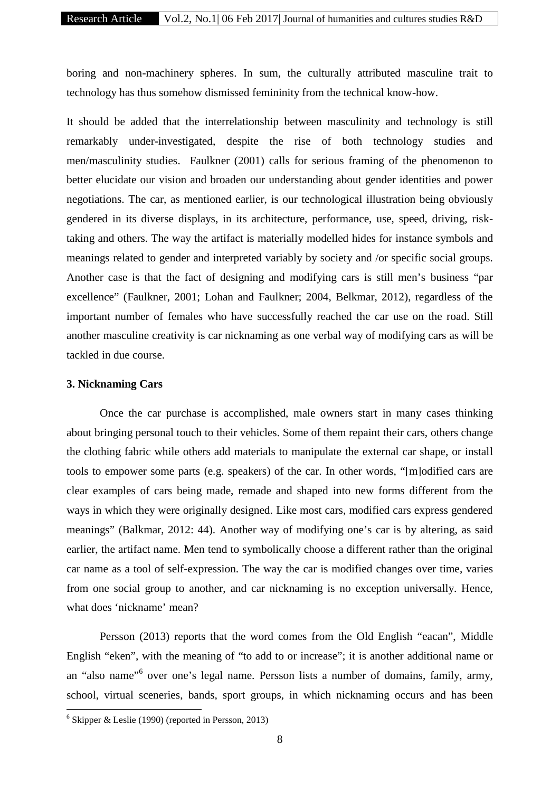boring and non-machinery spheres. In sum, the culturally attributed masculine trait to technology has thus somehow dismissed femininity from the technical know-how.

It should be added that the interrelationship between masculinity and technology is still remarkably under-investigated, despite the rise of both technology studies and men/masculinity studies. Faulkner (2001) calls for serious framing of the phenomenon to better elucidate our vision and broaden our understanding about gender identities and power negotiations. The car, as mentioned earlier, is our technological illustration being obviously gendered in its diverse displays, in its architecture, performance, use, speed, driving, risktaking and others. The way the artifact is materially modelled hides for instance symbols and meanings related to gender and interpreted variably by society and /or specific social groups. Another case is that the fact of designing and modifying cars is still men's business "par excellence" (Faulkner, 2001; Lohan and Faulkner; 2004, Belkmar, 2012), regardless of the important number of females who have successfully reached the car use on the road. Still another masculine creativity is car nicknaming as one verbal way of modifying cars as will be tackled in due course.

### **3. Nicknaming Cars**

Once the car purchase is accomplished, male owners start in many cases thinking about bringing personal touch to their vehicles. Some of them repaint their cars, others change the clothing fabric while others add materials to manipulate the external car shape, or install tools to empower some parts (e.g. speakers) of the car. In other words, "[m]odified cars are clear examples of cars being made, remade and shaped into new forms different from the ways in which they were originally designed. Like most cars, modified cars express gendered meanings" (Balkmar, 2012: 44). Another way of modifying one's car is by altering, as said earlier, the artifact name. Men tend to symbolically choose a different rather than the original car name as a tool of self-expression. The way the car is modified changes over time, varies from one social group to another, and car nicknaming is no exception universally. Hence, what does 'nickname' mean?

Persson (2013) reports that the word comes from the Old English "eacan", Middle English "eken", with the meaning of "to add to or increase"; it is another additional name or an "also name"<sup>6</sup> over one's legal name. Persson lists a number of domains, family, army, school, virtual sceneries, bands, sport groups, in which nicknaming occurs and has been

 $6$  Skipper & Leslie (1990) (reported in Persson, 2013)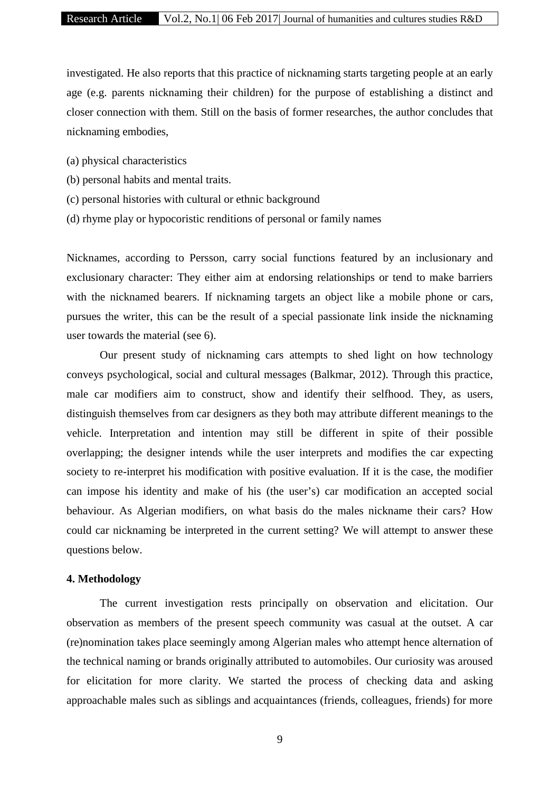investigated. He also reports that this practice of nicknaming starts targeting people at an early age (e.g. parents nicknaming their children) for the purpose of establishing a distinct and closer connection with them. Still on the basis of former researches, the author concludes that nicknaming embodies,

- (a) physical characteristics
- (b) personal habits and mental traits.
- (c) personal histories with cultural or ethnic background
- (d) rhyme play or hypocoristic renditions of personal or family names

Nicknames, according to Persson, carry social functions featured by an inclusionary and exclusionary character: They either aim at endorsing relationships or tend to make barriers with the nicknamed bearers. If nicknaming targets an object like a mobile phone or cars, pursues the writer, this can be the result of a special passionate link inside the nicknaming user towards the material (see 6).

Our present study of nicknaming cars attempts to shed light on how technology conveys psychological, social and cultural messages (Balkmar, 2012). Through this practice, male car modifiers aim to construct, show and identify their selfhood. They, as users, distinguish themselves from car designers as they both may attribute different meanings to the vehicle. Interpretation and intention may still be different in spite of their possible overlapping; the designer intends while the user interprets and modifies the car expecting society to re-interpret his modification with positive evaluation. If it is the case, the modifier can impose his identity and make of his (the user's) car modification an accepted social behaviour. As Algerian modifiers, on what basis do the males nickname their cars? How could car nicknaming be interpreted in the current setting? We will attempt to answer these questions below.

### **4. Methodology**

The current investigation rests principally on observation and elicitation. Our observation as members of the present speech community was casual at the outset. A car (re)nomination takes place seemingly among Algerian males who attempt hence alternation of the technical naming or brands originally attributed to automobiles. Our curiosity was aroused for elicitation for more clarity. We started the process of checking data and asking approachable males such as siblings and acquaintances (friends, colleagues, friends) for more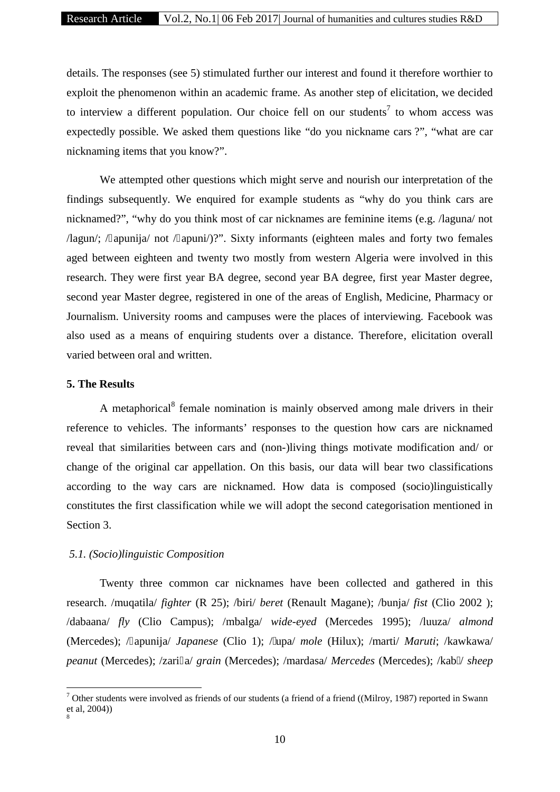details. The responses (see 5) stimulated further our interest and found it therefore worthier to exploit the phenomenon within an academic frame. As another step of elicitation, we decided to interview a different population. Our choice fell on our students<sup>7</sup> to whom access was expectedly possible. We asked them questions like "do you nickname cars ?", "what are car nicknaming items that you know?".

We attempted other questions which might serve and nourish our interpretation of the findings subsequently. We enquired for example students as "why do you think cars are nicknamed?", "why do you think most of car nicknames are feminine items (e.g. /laguna/ not /lagun/; / apunija/ not / apuni/)?". Sixty informants (eighteen males and forty two females aged between eighteen and twenty two mostly from western Algeria were involved in this research. They were first year BA degree, second year BA degree, first year Master degree, second year Master degree, registered in one of the areas of English, Medicine, Pharmacy or Journalism. University rooms and campuses were the places of interviewing. Facebook was also used as a means of enquiring students over a distance. Therefore, elicitation overall varied between oral and written.

### **5. The Results**

A metaphorical<sup>8</sup> female nomination is mainly observed among male drivers in their reference to vehicles. The informants' responses to the question how cars are nicknamed reveal that similarities between cars and (non-)living things motivate modification and/ or change of the original car appellation. On this basis, our data will bear two classifications according to the way cars are nicknamed. How data is composed (socio)linguistically constitutes the first classification while we will adopt the second categorisation mentioned in Section 3.

### *5.1. (Socio)linguistic Composition*

Twenty three common car nicknames have been collected and gathered in this research. /muqatila/ *fighter* (R 25); /biri/ *beret* (Renault Magane); /bunja/ *fist* (Clio 2002 ); /dabaana/ *fly* (Clio Campus); /mbalga/ *wide-eyed* (Mercedes 1995); /luuza/ *almond* (Mercedes); / apunija/ *Japanese* (Clio 1); / upa/ *mole* (Hilux); /marti/ *Maruti*; /kawkawa/ *peanut* (Mercedes); /zari a/ *grain* (Mercedes); /mardasa/ *Mercedes* (Mercedes); /kab / *sheep*

<sup>&</sup>lt;sup>7</sup> Other students were involved as friends of our students (a friend of a friend ((Milroy, 1987) reported in Swann et al, 2004)) 8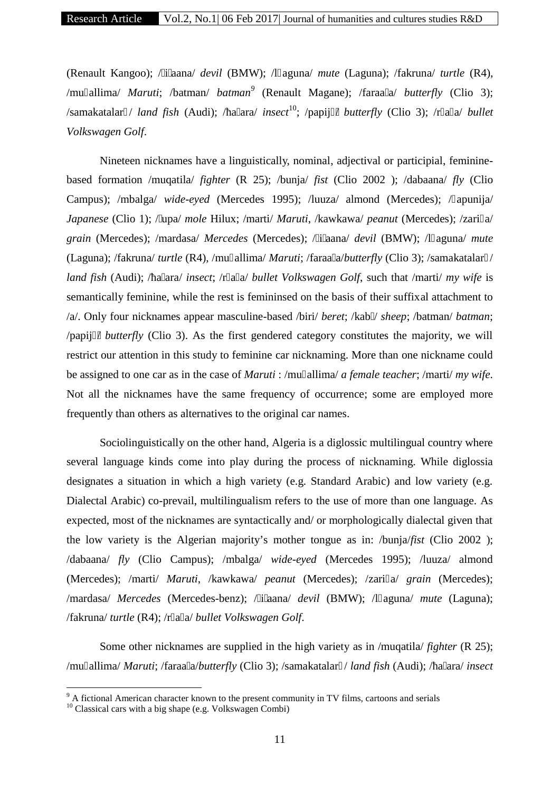(Renault Kangoo); / i aana/ *devil* (BMW); /l aguna/ *mute* (Laguna); /fakruna/ *turtle* (R4), /mu allima/ *Maruti*; /batman/ *batman<sup>9</sup>* (Renault Magane); /faraa a/ *butterfly* (Clio 3); /samakatalar / *land fish* (Audi); / a ara/ *insect*<sup>10</sup>; /papij / *butterfly* (Clio 3); /r a a/ *bullet Volkswagen Golf*.

Nineteen nicknames have a linguistically, nominal, adjectival or participial, feminine based formation /muqatila/ *fighter* (R 25); /bunja/ *fist* (Clio 2002 ); /dabaana/ *fly* (Clio Campus); /mbalga/ *wide-eyed* (Mercedes 1995); /luuza/ almond (Mercedes); / apunija/ *Japanese* (Clio 1); / upa/ *mole* Hilux; /marti/ *Maruti*, /kawkawa/ *peanut* (Mercedes); /zari a/ *grain* (Mercedes); /mardasa/ *Mercedes* (Mercedes); / i aana/ *devil* (BMW); /l aguna/ *mute* (Laguna); /fakruna/ *turtle* (R4), /mu allima/ *Maruti*; /faraa a/*butterfly* (Clio 3); /samakatalar / *land fish* (Audi); / a ara/ *insect*; /r a a/ *bullet Volkswagen Golf*, such that /marti/ *my wife* is semantically feminine, while the rest is femininsed on the basis of their suffixal attachment to /a/. Only four nicknames appear masculine-based /biri/ *beret*; /kab / *sheep*; /batman/ *batman*; /papij / *butterfly* (Clio 3). As the first gendered category constitutes the majority, we will restrict our attention in this study to feminine car nicknaming. More than one nickname could be assigned to one car as in the case of *Maruti* : /mu allima/ *a female teacher*; /marti/ *my wife*. Not all the nicknames have the same frequency of occurrence; some are employed more frequently than others as alternatives to the original car names.

Sociolinguistically on the other hand, Algeria is a diglossic multilingual country where several language kinds come into play during the process of nicknaming. While diglossia designates a situation in which a high variety (e.g. Standard Arabic) and low variety (e.g. Dialectal Arabic) co-prevail, multilingualism refers to the use of more than one language. As expected, most of the nicknames are syntactically and/ or morphologically dialectal given that the low variety is the Algerian majority's mother tongue as in: /bunja/*fist* (Clio 2002 ); /dabaana/ *fly* (Clio Campus); /mbalga/ *wide-eyed* (Mercedes 1995); /luuza/ almond (Mercedes); /marti/ *Maruti*, /kawkawa/ *peanut* (Mercedes); /zari a/ *grain* (Mercedes); /mardasa/ *Mercedes* (Mercedes-benz); / i aana/ *devil* (BMW); /l aguna/ *mute* (Laguna); /fakruna/ *turtle* (R4); /r a a/ *bullet Volkswagen Golf*.

Some other nicknames are supplied in the high variety as in /muqatila/ *fighter* (R 25); /mu allima/ *Maruti*; /faraa a/*butterfly* (Clio 3); /samakatalar / *land fish* (Audi); / a ara/ *insect* 

<sup>&</sup>lt;sup>9</sup> A fictional American character known to the present community in TV films, cartoons and serials

<sup>&</sup>lt;sup>10</sup> Classical cars with a big shape (e.g. Volkswagen Combi)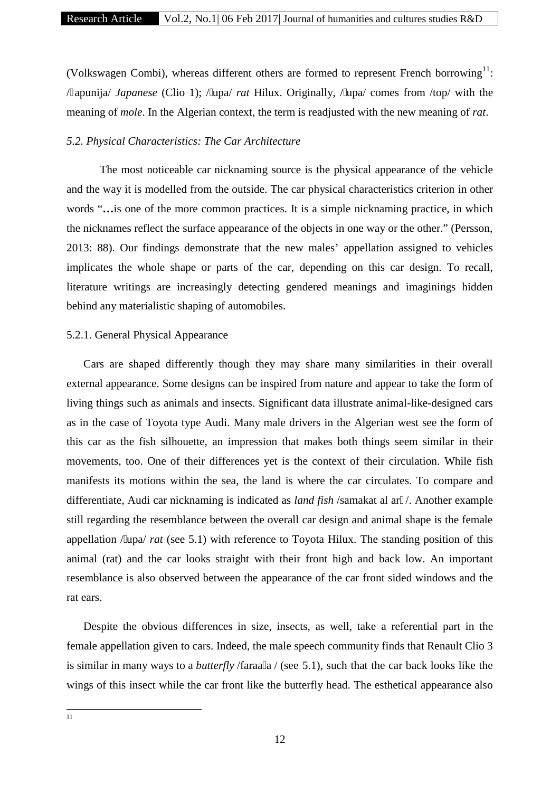(Volkswagen Combi), whereas different others are formed to represent French borrowing $^{11}$ : / apunija/ *Japanese* (Clio 1); / upa/ *rat* Hilux. Originally, / upa/ comes from /top/ with the meaning of *mole*. In the Algerian context, the term is readjusted with the new meaning of *rat*.

# *5.2. Physical Characteristics: The Car Architecture*

The most noticeable car nicknaming source is the physical appearance of the vehicle and the way it is modelled from the outside. The car physical characteristics criterion in other words "... is one of the more common practices. It is a simple nicknaming practice, in which the nicknames reflect the surface appearance of the objects in one way or the other." (Persson, 2013: 88). Our findings demonstrate that the new males' appellation assigned to vehicles implicates the whole shape or parts of the car, depending on this car design. To recall, literature writings are increasingly detecting gendered meanings and imaginings hidden behind any materialistic shaping of automobiles.

# 5.2.1. General Physical Appearance

Cars are shaped differently though they may share many similarities in their overall external appearance. Some designs can be inspired from nature and appear to take the form of living things such as animals and insects. Significant data illustrate animal-like-designed cars as in the case of Toyota type Audi. Many male drivers in the Algerian west see the form of this car as the fish silhouette, an impression that makes both things seem similar in their movements, too. One of their differences yet is the context of their circulation. While fish manifests its motions within the sea, the land is where the car circulates. To compare and differentiate, Audi car nicknaming is indicated as *land fish* /samakat al ar /. Another example still regarding the resemblance between the overall car design and animal shape is the female appellation / upa/ *rat* (see 5.1) with reference to Toyota Hilux. The standing position of this animal (rat) and the car looks straight with their front high and back low. An important resemblance is also observed between the appearance of the car front sided windows and the rat ears.

Despite the obvious differences in size, insects, as well, take a referential part in the female appellation given to cars. Indeed, the male speech community finds that Renault Clio 3 is similar in many ways to a *butterfly* /faraa a / (see 5.1), such that the car back looks like the wings of this insect while the car front like the butterfly head. The esthetical appearance also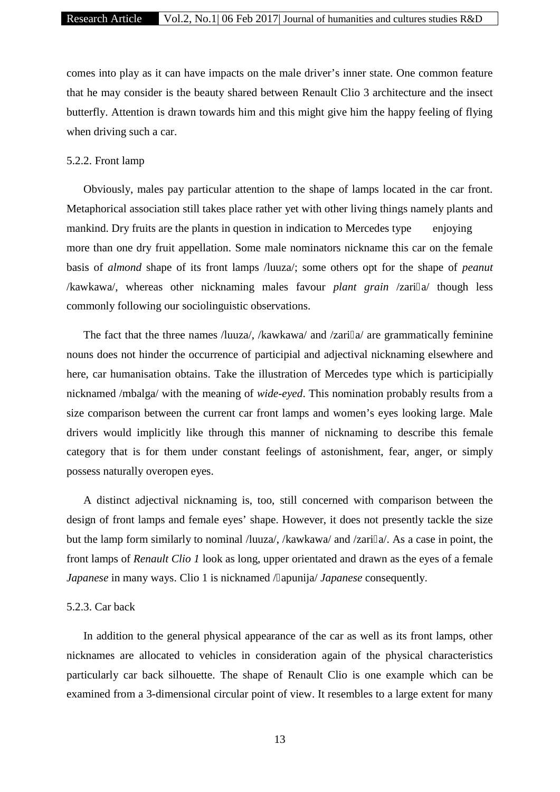comes into play as it can have impacts on the male driver's inner state. One common feature that he may consider is the beauty shared between Renault Clio 3 architecture and the insect butterfly. Attention is drawn towards him and this might give him the happy feeling of flying when driving such a car.

### 5.2.2. Front lamp

Obviously, males pay particular attention to the shape of lamps located in the car front. Metaphorical association still takes place rather yet with other living things namely plants and mankind. Dry fruits are the plants in question in indication to Mercedes type enjoying more than one dry fruit appellation. Some male nominators nickname this car on the female basis of *almond* shape of its front lamps /luuza/; some others opt for the shape of *peanut* /kawkawa/, whereas other nicknaming males favour *plant grain* /zari a/ though less commonly following our sociolinguistic observations.

The fact that the three names /luuza/, /kawkawa/ and /zari a/ are grammatically feminine nouns does not hinder the occurrence of participial and adjectival nicknaming elsewhere and here, car humanisation obtains. Take the illustration of Mercedes type which is participially nicknamed /mbalga/ with the meaning of *wide-eyed*. This nomination probably results from a size comparison between the current car front lamps and women's eyes looking large. Male drivers would implicitly like through this manner of nicknaming to describe this female category that is for them under constant feelings of astonishment, fear, anger, or simply possess naturally overopen eyes.

A distinct adjectival nicknaming is, too, still concerned with comparison between the design of front lamps and female eyes' shape. However, it does not presently tackle the size but the lamp form similarly to nominal /luuza/, /kawkawa/ and /zari a/. As a case in point, the front lamps of *Renault Clio 1* look as long, upper orientated and drawn as the eyes of a female *Japanese* in many ways. Clio 1 is nicknamed / apunija/ *Japanese* consequently.

#### 5.2.3. Car back

In addition to the general physical appearance of the car as well as its front lamps, other nicknames are allocated to vehicles in consideration again of the physical characteristics particularly car back silhouette. The shape of Renault Clio is one example which can be examined from a 3-dimensional circular point of view. It resembles to a large extent for many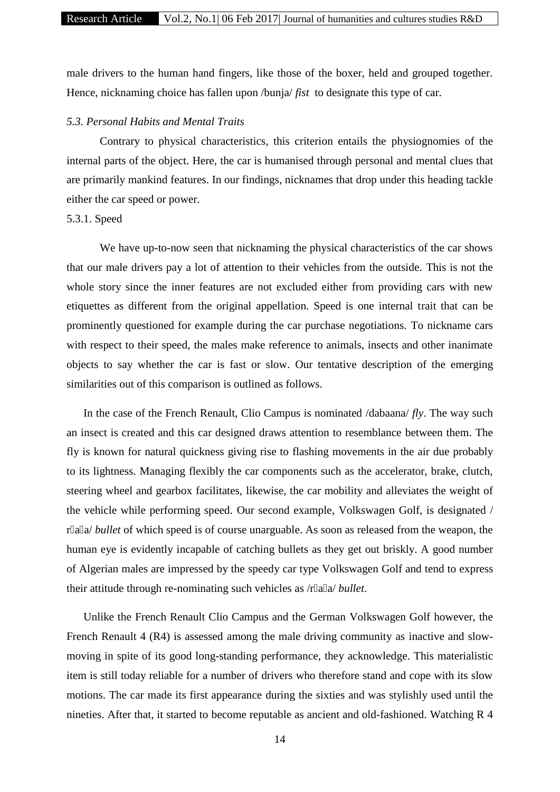# Research Article Vol.2, No.1| 06 Feb 2017| Journal of humanities and cultures studies R&D

male drivers to the human hand fingers, like those of the boxer, held and grouped together. Hence, nicknaming choice has fallen upon /bunja/ *fist* to designate this type of car.

### *5.3. Personal Habits and Mental Traits*

Contrary to physical characteristics, this criterion entails the physiognomies of the internal parts of the object. Here, the car is humanised through personal and mental clues that are primarily mankind features. In our findings, nicknames that drop under this heading tackle either the car speed or power.

# 5.3.1. Speed

We have up-to-now seen that nicknaming the physical characteristics of the car shows that our male drivers pay a lot of attention to their vehicles from the outside. This is not the whole story since the inner features are not excluded either from providing cars with new etiquettes as different from the original appellation. Speed is one internal trait that can be prominently questioned for example during the car purchase negotiations. To nickname cars with respect to their speed, the males make reference to animals, insects and other inanimate objects to say whether the car is fast or slow. Our tentative description of the emerging similarities out of this comparison is outlined as follows.

In the case of the French Renault, Clio Campus is nominated /dabaana/ *fly*. The way such an insect is created and this car designed draws attention to resemblance between them. The fly is known for natural quickness giving rise to flashing movements in the air due probably to its lightness. Managing flexibly the car components such as the accelerator, brake, clutch, steering wheel and gearbox facilitates, likewise, the car mobility and alleviates the weight of the vehicle while performing speed. Our second example, Volkswagen Golf, is designated / r a a/ *bullet* of which speed is of course unarguable. As soon as released from the weapon, the human eye is evidently incapable of catching bullets as they get out briskly. A good number of Algerian males are impressed by the speedy car type Volkswagen Golf and tend to express their attitude through re-nominating such vehicles as /r a a/ *bullet*.

Unlike the French Renault Clio Campus and the German Volkswagen Golf however, the French Renault 4 (R4) is assessed among the male driving community as inactive and slow moving in spite of its good long-standing performance, they acknowledge. This materialistic item is still today reliable for a number of drivers who therefore stand and cope with its slow motions. The car made its first appearance during the sixties and was stylishly used until the nineties. After that, it started to become reputable as ancient and old-fashioned. Watching R 4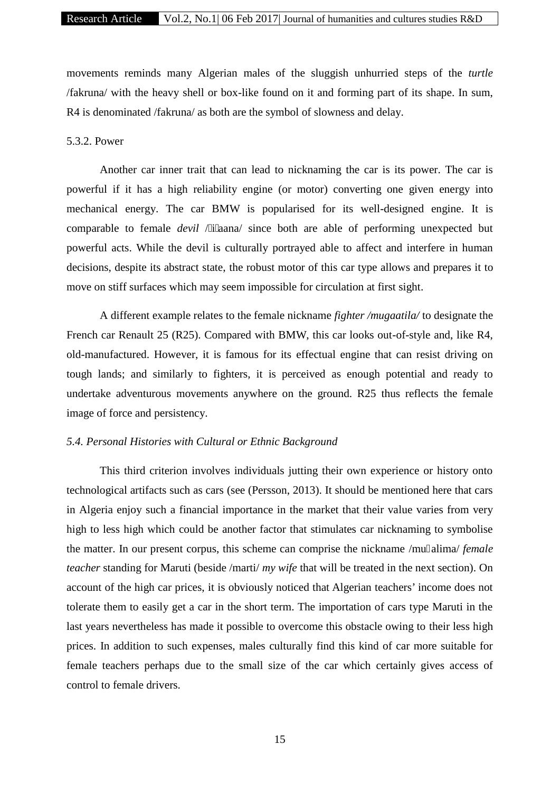movements reminds many Algerian males of the sluggish unhurried steps of the *turtle* /fakruna/ with the heavy shell or box-like found on it and forming part of its shape. In sum, R4 is denominated /fakruna/ as both are the symbol of slowness and delay.

# 5.3.2. Power

Another car inner trait that can lead to nicknaming the car is its power. The car is powerful if it has a high reliability engine (or motor) converting one given energy into mechanical energy. The car BMW is popularised for its well-designed engine. It is comparable to female *devil* / i aana/ since both are able of performing unexpected but powerful acts. While the devil is culturally portrayed able to affect and interfere in human decisions, despite its abstract state, the robust motor of this car type allows and prepares it to move on stiff surfaces which may seem impossible for circulation at first sight.

A different example relates to the female nickname *fighter /mugaatila/* to designate the French car Renault 25 (R25). Compared with BMW, this car looks out-of-style and, like R4, old-manufactured. However, it is famous for its effectual engine that can resist driving on tough lands; and similarly to fighters, it is perceived as enough potential and ready to undertake adventurous movements anywhere on the ground. R25 thus reflects the female image of force and persistency.

### *5.4. Personal Histories with Cultural or Ethnic Background*

This third criterion involves individuals jutting their own experience or history onto technological artifacts such as cars (see (Persson, 2013). It should be mentioned here that cars in Algeria enjoy such a financial importance in the market that their value varies from very high to less high which could be another factor that stimulates car nicknaming to symbolise the matter. In our present corpus, this scheme can comprise the nickname /mu alima/ *female teacher* standing for Maruti (beside /marti/ *my wife* that will be treated in the next section). On account of the high car prices, it is obviously noticed that Algerian teachers' income does not tolerate them to easily get a car in the short term. The importation of cars type Maruti in the last years nevertheless has made it possible to overcome this obstacle owing to their less high prices. In addition to such expenses, males culturally find this kind of car more suitable for female teachers perhaps due to the small size of the car which certainly gives access of control to female drivers.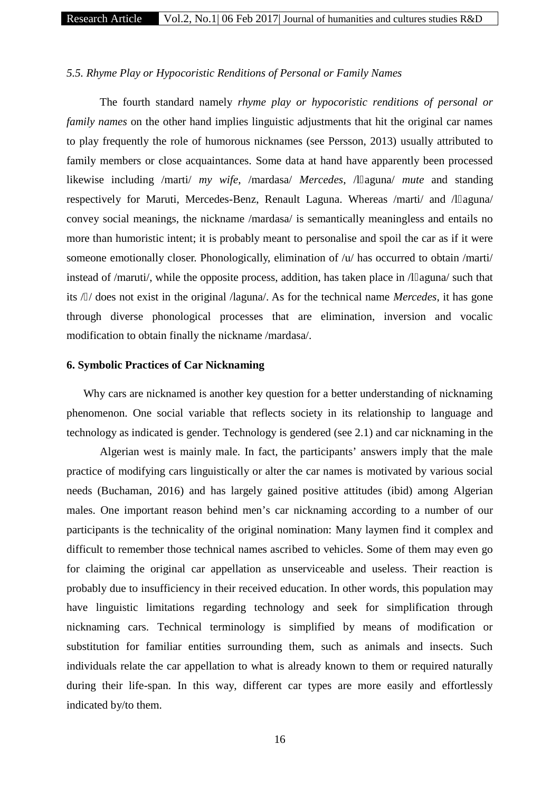### *5.5. Rhyme Play or Hypocoristic Renditions of Personal or Family Names*

The fourth standard namely *rhyme play or hypocoristic renditions of personal or family names* on the other hand implies linguistic adjustments that hit the original car names to play frequently the role of humorous nicknames (see Persson, 2013) usually attributed to family members or close acquaintances. Some data at hand have apparently been processed likewise including /marti/ *my wife*, /mardasa/ *Mercedes*, /l aguna/ *mute* and standing respectively for Maruti, Mercedes-Benz, Renault Laguna. Whereas /marti/ and /l aguna/ convey social meanings, the nickname /mardasa/ is semantically meaningless and entails no more than humoristic intent; it is probably meant to personalise and spoil the car as if it were someone emotionally closer. Phonologically, elimination of /u/ has occurred to obtain /marti/ instead of /maruti/, while the opposite process, addition, has taken place in  $\Lambda$  aguna/ such that its / / does not exist in the original /laguna/. As for the technical name *Mercedes*, it has gone through diverse phonological processes that are elimination, inversion and vocalic modification to obtain finally the nickname /mardasa/.

# **6. Symbolic Practices of Car Nicknaming**

Why cars are nicknamed is another key question for a better understanding of nicknaming phenomenon. One social variable that reflects society in its relationship to language and technology as indicated is gender. Technology is gendered (see 2.1) and car nicknaming in the

Algerian west is mainly male. In fact, the participants' answers imply that the male practice of modifying cars linguistically or alter the car names is motivated by various social needs (Buchaman, 2016) and has largely gained positive attitudes (ibid) among Algerian males. One important reason behind men's car nicknaming according to a number of our participants is the technicality of the original nomination: Many laymen find it complex and difficult to remember those technical names ascribed to vehicles. Some of them may even go for claiming the original car appellation as unserviceable and useless. Their reaction is probably due to insufficiency in their received education. In other words, this population may have linguistic limitations regarding technology and seek for simplification through nicknaming cars. Technical terminology is simplified by means of modification or substitution for familiar entities surrounding them, such as animals and insects. Such individuals relate the car appellation to what is already known to them or required naturally during their life-span. In this way, different car types are more easily and effortlessly indicated by/to them.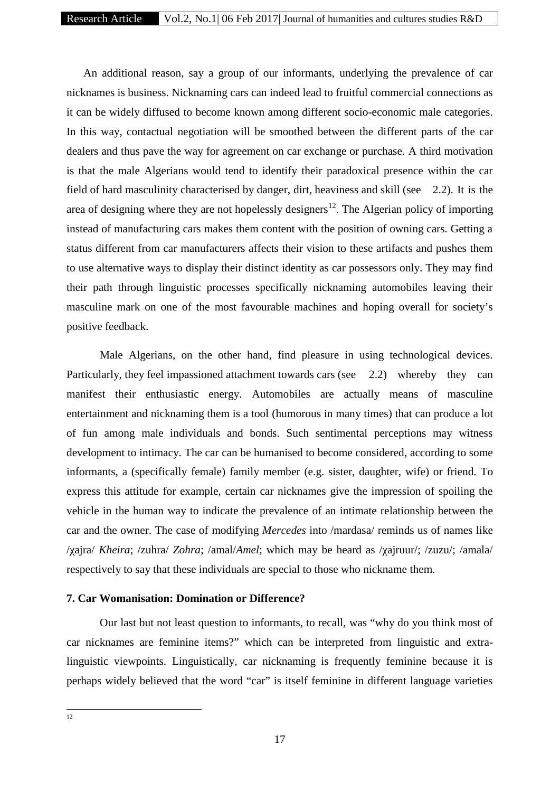An additional reason, say a group of our informants, underlying the prevalence of car nicknames is business. Nicknaming cars can indeed lead to fruitful commercial connections as it can be widely diffused to become known among different socio-economic male categories. In this way, contactual negotiation will be smoothed between the different parts of the car dealers and thus pave the way for agreement on car exchange or purchase. A third motivation is that the male Algerians would tend to identify their paradoxical presence within the car field of hard masculinity characterised by danger, dirt, heaviness and skill (see 2.2). It is the area of designing where they are not hopelessly designers<sup>12</sup>. The Algerian policy of importing instead of manufacturing cars makes them content with the position of owning cars. Getting a status different from car manufacturers affects their vision to these artifacts and pushes them to use alternative ways to display their distinct identity as car possessors only. They may find their path through linguistic processes specifically nicknaming automobiles leaving their masculine mark on one of the most favourable machines and hoping overall for society's positive feedback.

Male Algerians, on the other hand, find pleasure in using technological devices. Particularly, they feel impassioned attachment towards cars (see 2.2) whereby they can manifest their enthusiastic energy. Automobiles are actually means of masculine entertainment and nicknaming them is a tool (humorous in many times) that can produce a lot of fun among male individuals and bonds. Such sentimental perceptions may witness development to intimacy. The car can be humanised to become considered, according to some informants, a (specifically female) family member (e.g. sister, daughter, wife) or friend. To express this attitude for example, certain car nicknames give the impression of spoiling the vehicle in the human way to indicate the prevalence of an intimate relationship between the car and the owner. The case of modifying *Mercedes* into /mardasa/ reminds us of names like /χajra/ *Kheira*; /zuhra/ *Zohra*; /amal/*Amel*; which may be heard as /χajruur/; /zuzu/; /amala/ respectively to say that these individuals are special to those who nickname them.

# **7. Car Womanisation: Domination or Difference?**

Our last but not least question to informants, to recall, was "why do you think most of car nicknames are feminine items?" which can be interpreted from linguistic and extralinguistic viewpoints. Linguistically, car nicknaming is frequently feminine because it is perhaps widely believed that the word "car" is itself feminine in different language varieties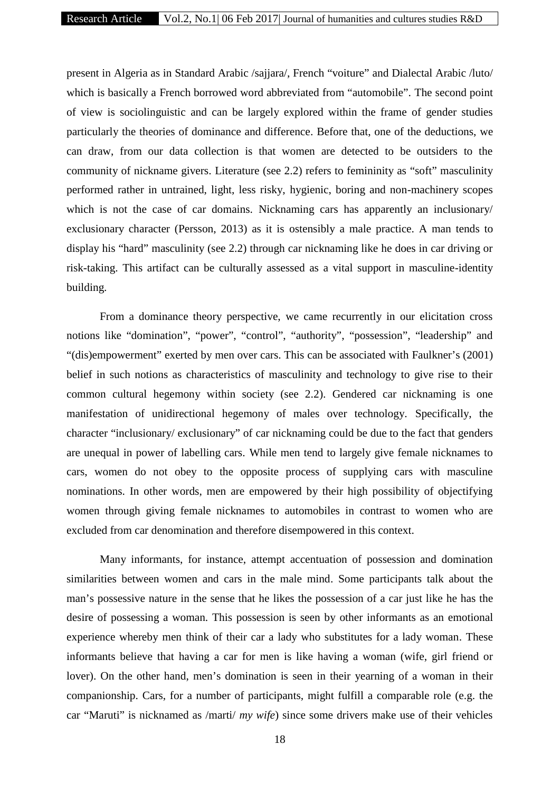present in Algeria as in Standard Arabic /sajjara/, French "voiture" and Dialectal Arabic /luto/ which is basically a French borrowed word abbreviated from "automobile". The second point of view is sociolinguistic and can be largely explored within the frame of gender studies particularly the theories of dominance and difference. Before that, one of the deductions, we can draw, from our data collection is that women are detected to be outsiders to the community of nickname givers. Literature (see 2.2) refers to femininity as "soft" masculinity performed rather in untrained, light, less risky, hygienic, boring and non-machinery scopes which is not the case of car domains. Nicknaming cars has apparently an inclusionary/ exclusionary character (Persson, 2013) as it is ostensibly a male practice. A man tends to display his "hard" masculinity (see 2.2) through car nicknaming like he does in car driving or risk-taking. This artifact can be culturally assessed as a vital support in masculine-identity building.

From a dominance theory perspective, we came recurrently in our elicitation cross notions like "domination", "power", "control", "authority", "possession", "leadership" and "(dis)empowerment" exerted by men over cars. This can be associated with Faulkner's (2001) belief in such notions as characteristics of masculinity and technology to give rise to their common cultural hegemony within society (see 2.2). Gendered car nicknaming is one manifestation of unidirectional hegemony of males over technology. Specifically, the character "inclusionary/ exclusionary" of car nicknaming could be due to the fact that genders are unequal in power of labelling cars. While men tend to largely give female nicknames to cars, women do not obey to the opposite process of supplying cars with masculine nominations. In other words, men are empowered by their high possibility of objectifying women through giving female nicknames to automobiles in contrast to women who are excluded from car denomination and therefore disempowered in this context.

Many informants, for instance, attempt accentuation of possession and domination similarities between women and cars in the male mind. Some participants talk about the man's possessive nature in the sense that he likes the possession of a car just like he has the desire of possessing a woman. This possession is seen by other informants as an emotional experience whereby men think of their car a lady who substitutes for a lady woman. These informants believe that having a car for men is like having a woman (wife, girl friend or lover). On the other hand, men's domination is seen in their yearning of a woman in their companionship. Cars, for a number of participants, might fulfill a comparable role (e.g. the car "Maruti" is nicknamed as /marti/ *my wife*) since some drivers make use of their vehicles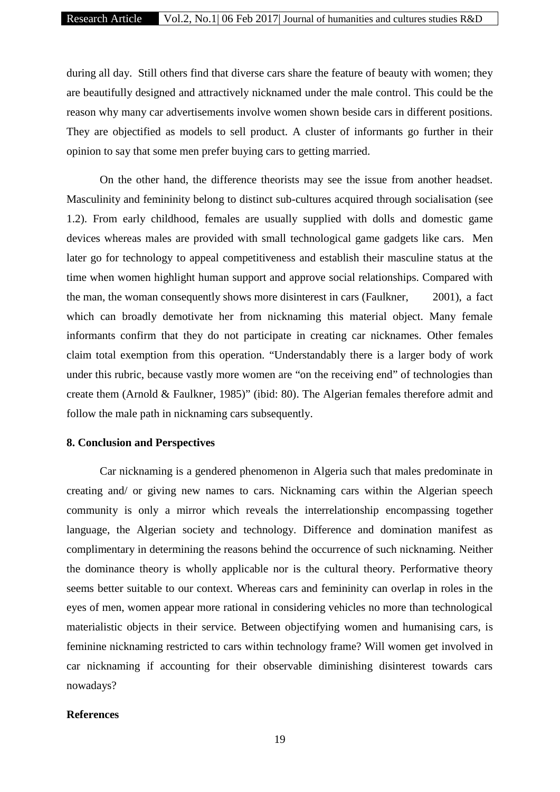during all day. Still others find that diverse cars share the feature of beauty with women; they are beautifully designed and attractively nicknamed under the male control. This could be the reason why many car advertisements involve women shown beside cars in different positions. They are objectified as models to sell product. A cluster of informants go further in their opinion to say that some men prefer buying cars to getting married.

On the other hand, the difference theorists may see the issue from another headset. Masculinity and femininity belong to distinct sub-cultures acquired through socialisation (see 1.2). From early childhood, females are usually supplied with dolls and domestic game devices whereas males are provided with small technological game gadgets like cars. Men later go for technology to appeal competitiveness and establish their masculine status at the time when women highlight human support and approve social relationships. Compared with the man, the woman consequently shows more disinterest in cars (Faulkner, 2001), a fact which can broadly demotivate her from nicknaming this material object. Many female informants confirm that they do not participate in creating car nicknames. Other females claim total exemption from this operation. "Understandably there is a larger body of work under this rubric, because vastly more women are "on the receiving end" of technologies than create them (Arnold & Faulkner, 1985)" (ibid: 80). The Algerian females therefore admit and follow the male path in nicknaming cars subsequently.

### **8. Conclusion and Perspectives**

Car nicknaming is a gendered phenomenon in Algeria such that males predominate in creating and/ or giving new names to cars. Nicknaming cars within the Algerian speech community is only a mirror which reveals the interrelationship encompassing together language, the Algerian society and technology. Difference and domination manifest as complimentary in determining the reasons behind the occurrence of such nicknaming. Neither the dominance theory is wholly applicable nor is the cultural theory. Performative theory seems better suitable to our context. Whereas cars and femininity can overlap in roles in the eyes of men, women appear more rational in considering vehicles no more than technological materialistic objects in their service. Between objectifying women and humanising cars, is feminine nicknaming restricted to cars within technology frame? Will women get involved in car nicknaming if accounting for their observable diminishing disinterest towards cars nowadays?

#### **References**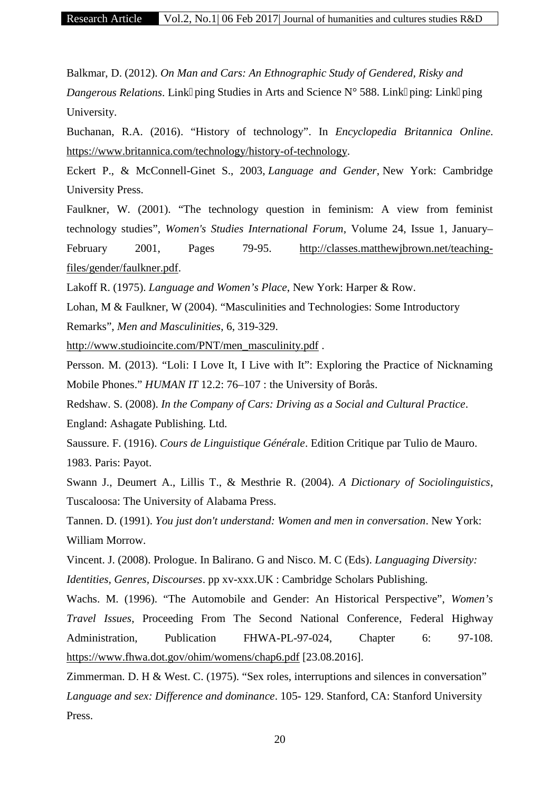Balkmar, D. (2012). *On Man and Cars: An Ethnographic Study of Gendered, Risky and Dangerous Relations*. Link ping Studies in Arts and Science N° 588. Link ping: Link ping University.

Buchanan, R.A. (2016). "History of technology". In *Encyclopedia Britannica Online*. https://www.britannica.com/technology/history-of-technology.

Eckert P., & McConnell-Ginet S., 2003, *Language and Gender*, New York: Cambridge University Press.

Faulkner, W. (2001). "The technology question in feminism: A view from feminist technology studies", *Women's Studies International Forum*, Volume 24, Issue 1, January– February 2001, Pages 79-95. http://classes.matthewjbrown.net/teachingfiles/gender/faulkner.pdf.

Lakoff R. (1975). *Language and Women's Place*, New York: Harper & Row.

Lohan, M & Faulkner, W (2004). "Masculinities and Technologies: Some Introductory Remarks", *Men and Masculinities*, 6, 319-329.

http://www.studioincite.com/PNT/men\_masculinity.pdf .

Persson. M. (2013). "Loli: I Love It, I Live with It": Exploring the Practice of Nicknaming Mobile Phones." *HUMAN IT* 12.2: 76–107 : the University of Borås.

Redshaw. S. (2008). *In the Company of Cars: Driving as a Social and Cultural Practice*. England: Ashagate Publishing. Ltd.

Saussure. F. (1916). *Cours de Linguistique Générale*. Edition Critique par Tulio de Mauro. 1983. Paris: Payot.

Swann J., Deumert A., Lillis T., & Mesthrie R. (2004). *A Dictionary of Sociolinguistics*, Tuscaloosa: The University of Alabama Press.

Tannen. D. (1991). *You just don't understand: Women and men in conversation*. New York: William Morrow.

Vincent. J. (2008). Prologue. In Balirano. G and Nisco. M. C (Eds). *Languaging Diversity:*

*Identities, Genres, Discourses*. pp xv-xxx.UK : Cambridge Scholars Publishing.

Wachs. M. (1996). "The Automobile and Gender: An Historical Perspective", *Women's Travel Issues*, Proceeding From The Second National Conference, Federal Highway Administration, Publication FHWA-PL-97-024, Chapter 6: 97-108. https://www.fhwa.dot.gov/ohim/womens/chap6.pdf [23.08.2016].

Zimmerman. D. H & West. C. (1975). "Sex roles, interruptions and silences in conversation" *Language and sex: Difference and dominance*. 105- 129. Stanford, CA: Stanford University Press.